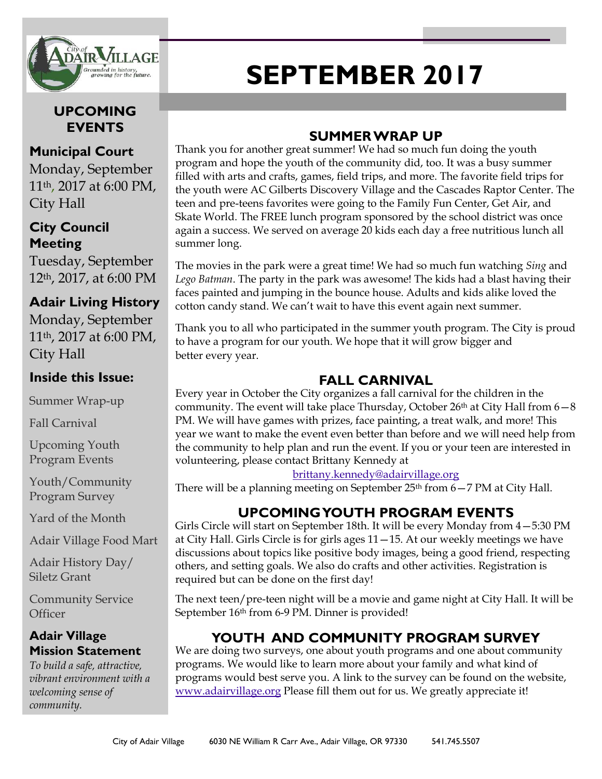

### **UPCOMING EVENTS**

#### **Municipal Court**

Monday, September 11th, 2017 at 6:00 PM, City Hall

#### **City Council Meeting**

Tuesday, September 12th, 2017, at 6:00 PM

### **Adair Living History**

Monday, September 11th, 2017 at 6:00 PM, City Hall

#### **Inside this Issue:**

Summer Wrap-up

Fall Carnival

Upcoming Youth Program Events

Youth/Community Program Survey

Yard of the Month

Adair Village Food Mart

Adair History Day/ Siletz Grant

Community Service **Officer** 

#### **Adair Village Mission Statement**

*To build a safe, attractive, vibrant environment with a welcoming sense of community.*

# **SEPTEMBER 2017**

## **SUMMER WRAP UP**

Thank you for another great summer! We had so much fun doing the youth program and hope the youth of the community did, too. It was a busy summer filled with arts and crafts, games, field trips, and more. The favorite field trips for the youth were AC Gilberts Discovery Village and the Cascades Raptor Center. The teen and pre-teens favorites were going to the Family Fun Center, Get Air, and Skate World. The FREE lunch program sponsored by the school district was once again a success. We served on average 20 kids each day a free nutritious lunch all summer long.

The movies in the park were a great time! We had so much fun watching *Sing* and *Lego Batman*. The party in the park was awesome! The kids had a blast having their faces painted and jumping in the bounce house. Adults and kids alike loved the cotton candy stand. We can't wait to have this event again next summer.

Thank you to all who participated in the summer youth program. The City is proud to have a program for our youth. We hope that it will grow bigger and better every year.

## **FALL CARNIVAL**

Every year in October the City organizes a fall carnival for the children in the community. The event will take place Thursday, October 26<sup>th</sup> at City Hall from  $6-8$ PM. We will have games with prizes, face painting, a treat walk, and more! This year we want to make the event even better than before and we will need help from the community to help plan and run the event. If you or your teen are interested in volunteering, please contact Brittany Kennedy at

#### [brittany.kennedy@adairvillage.org](mailto:brittany.kennedy@adairvillage.org)

There will be a planning meeting on September 25<sup>th</sup> from 6-7 PM at City Hall.

## **UPCOMING YOUTH PROGRAM EVENTS**

Girls Circle will start on September 18th. It will be every Monday from 4—5:30 PM at City Hall. Girls Circle is for girls ages  $11-15$ . At our weekly meetings we have discussions about topics like positive body images, being a good friend, respecting others, and setting goals. We also do crafts and other activities. Registration is required but can be done on the first day!

The next teen/pre-teen night will be a movie and game night at City Hall. It will be September 16<sup>th</sup> from 6-9 PM. Dinner is provided!

## **YOUTH AND COMMUNITY PROGRAM SURVEY**

We are doing two surveys, one about youth programs and one about community programs. We would like to learn more about your family and what kind of programs would best serve you. A link to the survey can be found on the website, [www.adairvillage.org](http://www.adairvillage.org) Please fill them out for us. We greatly appreciate it!